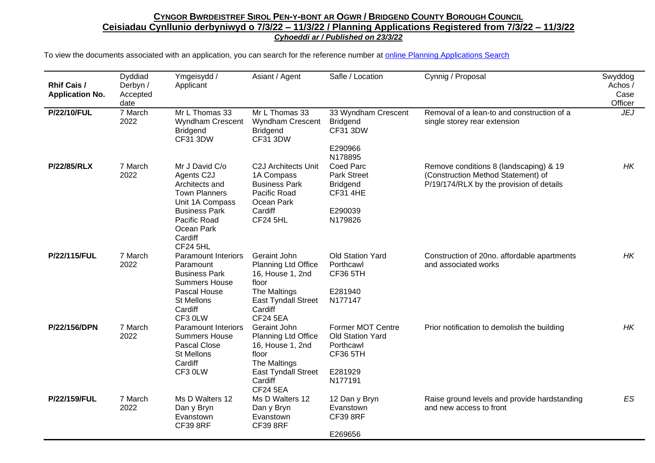| <b>Rhif Cais /</b><br><b>Application No.</b> | Dyddiad<br>Derbyn /<br>Accepted<br>date | Ymgeisydd /<br>Applicant                                                                                                                                                      | Asiant / Agent                                                                                                                               | Safle / Location                                                                                       | Cynnig / Proposal                                                                                                        | Swyddog<br>Achos /<br>Case<br>Officer |
|----------------------------------------------|-----------------------------------------|-------------------------------------------------------------------------------------------------------------------------------------------------------------------------------|----------------------------------------------------------------------------------------------------------------------------------------------|--------------------------------------------------------------------------------------------------------|--------------------------------------------------------------------------------------------------------------------------|---------------------------------------|
| <b>P/22/10/FUL</b>                           | 7 March<br>2022                         | Mr L Thomas 33<br>Wyndham Crescent<br><b>Bridgend</b><br><b>CF31 3DW</b>                                                                                                      | Mr L Thomas 33<br>Wyndham Crescent<br><b>Bridgend</b><br><b>CF31 3DW</b>                                                                     | 33 Wyndham Crescent<br><b>Bridgend</b><br><b>CF31 3DW</b><br>E290966                                   | Removal of a lean-to and construction of a<br>single storey rear extension                                               | <b>JEJ</b>                            |
| <b>P/22/85/RLX</b>                           | 7 March<br>2022                         | Mr J David C/o<br>Agents C2J<br>Architects and<br><b>Town Planners</b><br>Unit 1A Compass<br><b>Business Park</b><br>Pacific Road<br>Ocean Park<br>Cardiff<br><b>CF24 5HL</b> | C2J Architects Unit<br>1A Compass<br><b>Business Park</b><br>Pacific Road<br>Ocean Park<br>Cardiff<br><b>CF24 5HL</b>                        | N178895<br>Coed Parc<br><b>Park Street</b><br><b>Bridgend</b><br><b>CF31 4HE</b><br>E290039<br>N179826 | Remove conditions 8 (landscaping) & 19<br>(Construction Method Statement) of<br>P/19/174/RLX by the provision of details | HK.                                   |
| P/22/115/FUL                                 | 7 March<br>2022                         | <b>Paramount Interiors</b><br>Paramount<br><b>Business Park</b><br><b>Summers House</b><br>Pascal House<br><b>St Mellons</b><br>Cardiff<br>CF3 0LW                            | Geraint John<br>Planning Ltd Office<br>16, House 1, 2nd<br>floor<br>The Maltings<br>East Tyndall Street<br>Cardiff<br><b>CF24 5EA</b>        | <b>Old Station Yard</b><br>Porthcawl<br><b>CF36 5TH</b><br>E281940<br>N177147                          | Construction of 20no. affordable apartments<br>and associated works                                                      | <b>HK</b>                             |
| P/22/156/DPN                                 | 7 March<br>2022                         | <b>Paramount Interiors</b><br><b>Summers House</b><br>Pascal Close<br>St Mellons<br>Cardiff<br>CF3 0LW                                                                        | Geraint John<br>Planning Ltd Office<br>16, House 1, 2nd<br>floor<br>The Maltings<br><b>East Tyndall Street</b><br>Cardiff<br><b>CF24 5EA</b> | Former MOT Centre<br>Old Station Yard<br>Porthcawl<br><b>CF36 5TH</b><br>E281929<br>N177191            | Prior notification to demolish the building                                                                              | НK                                    |
| P/22/159/FUL                                 | 7 March<br>2022                         | Ms D Walters 12<br>Dan y Bryn<br>Evanstown<br><b>CF39 8RF</b>                                                                                                                 | Ms D Walters 12<br>Dan y Bryn<br>Evanstown<br><b>CF39 8RF</b>                                                                                | 12 Dan y Bryn<br>Evanstown<br><b>CF39 8RF</b><br>E269656                                               | Raise ground levels and provide hardstanding<br>and new access to front                                                  | ES                                    |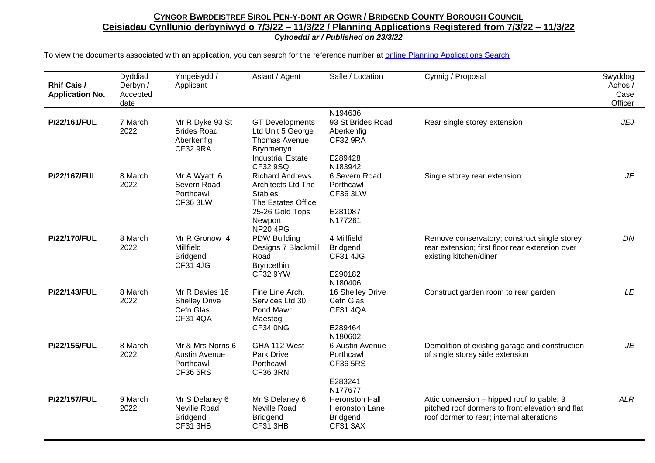| <b>Rhif Cais /</b><br><b>Application No.</b> | Dyddiad<br>Derbyn /<br>Accepted<br>date | Ymgeisydd /<br>Applicant                                                  | Asiant / Agent                                                                                                                                           | Safle / Location                                                               | Cynnig / Proposal                                                                                                                           | Swyddog<br>Achos /<br>Case<br>Officer |
|----------------------------------------------|-----------------------------------------|---------------------------------------------------------------------------|----------------------------------------------------------------------------------------------------------------------------------------------------------|--------------------------------------------------------------------------------|---------------------------------------------------------------------------------------------------------------------------------------------|---------------------------------------|
| P/22/161/FUL                                 | 7 March<br>2022                         | Mr R Dyke 93 St<br><b>Brides Road</b><br>Aberkenfig<br><b>CF32 9RA</b>    | <b>GT</b> Developments<br>Ltd Unit 5 George<br><b>Thomas Avenue</b><br>Brynmenyn<br><b>Industrial Estate</b>                                             | N194636<br>93 St Brides Road<br>Aberkenfig<br><b>CF32 9RA</b><br>E289428       | Rear single storey extension                                                                                                                | <b>JEJ</b>                            |
| P/22/167/FUL                                 | 8 March<br>2022                         | Mr A Wyatt 6<br>Severn Road<br>Porthcawl<br><b>CF36 3LW</b>               | CF32 9SQ<br><b>Richard Andrews</b><br><b>Architects Ltd The</b><br><b>Stables</b><br>The Estates Office<br>25-26 Gold Tops<br>Newport<br><b>NP20 4PG</b> | N183942<br>6 Severn Road<br>Porthcawl<br><b>CF36 3LW</b><br>E281087<br>N177261 | Single storey rear extension                                                                                                                | JE                                    |
| P/22/170/FUL                                 | 8 March<br>2022                         | Mr R Gronow 4<br>Millfield<br><b>Bridgend</b><br><b>CF31 4JG</b>          | PDW Building<br>Designs 7 Blackmill<br>Road<br><b>Bryncethin</b><br><b>CF32 9YW</b>                                                                      | 4 Millfield<br><b>Bridgend</b><br><b>CF31 4JG</b><br>E290182<br>N180406        | Remove conservatory; construct single storey<br>rear extension; first floor rear extension over<br>existing kitchen/diner                   | DN                                    |
| P/22/143/FUL                                 | 8 March<br>2022                         | Mr R Davies 16<br><b>Shelley Drive</b><br>Cefn Glas<br><b>CF31 4QA</b>    | Fine Line Arch.<br>Services Ltd 30<br>Pond Mawr<br>Maesteg<br>CF34 0NG                                                                                   | 16 Shelley Drive<br>Cefn Glas<br><b>CF31 4QA</b><br>E289464<br>N180602         | Construct garden room to rear garden                                                                                                        | <b>LE</b>                             |
| P/22/155/FUL                                 | 8 March<br>2022                         | Mr & Mrs Norris 6<br><b>Austin Avenue</b><br>Porthcawl<br><b>CF36 5RS</b> | GHA 112 West<br><b>Park Drive</b><br>Porthcawl<br>CF36 3RN                                                                                               | 6 Austin Avenue<br>Porthcawl<br><b>CF36 5RS</b><br>E283241<br>N177677          | Demolition of existing garage and construction<br>of single storey side extension                                                           | <b>JE</b>                             |
| P/22/157/FUL                                 | 9 March<br>2022                         | Mr S Delaney 6<br>Neville Road<br><b>Bridgend</b><br><b>CF31 3HB</b>      | Mr S Delaney 6<br>Neville Road<br><b>Bridgend</b><br><b>CF31 3HB</b>                                                                                     | <b>Heronston Hall</b><br>Heronston Lane<br><b>Bridgend</b><br><b>CF31 3AX</b>  | Attic conversion – hipped roof to gable; 3<br>pitched roof dormers to front elevation and flat<br>roof dormer to rear; internal alterations | <b>ALR</b>                            |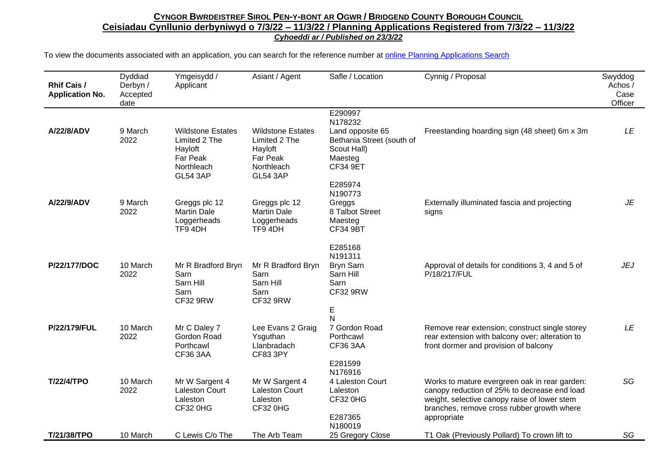| Rhif Cais /<br><b>Application No.</b> | Dyddiad<br>Derbyn /<br>Accepted<br>date | Ymgeisydd /<br>Applicant                                                                          | Asiant / Agent                                                                                           | Safle / Location                                                                                                 | Cynnig / Proposal                                                                                                                                                                                          | Swyddog<br>Achos /<br>Case<br>Officer |
|---------------------------------------|-----------------------------------------|---------------------------------------------------------------------------------------------------|----------------------------------------------------------------------------------------------------------|------------------------------------------------------------------------------------------------------------------|------------------------------------------------------------------------------------------------------------------------------------------------------------------------------------------------------------|---------------------------------------|
| A/22/8/ADV                            | 9 March<br>2022                         | <b>Wildstone Estates</b><br>Limited 2 The<br>Hayloft<br>Far Peak<br>Northleach<br><b>GL54 3AP</b> | <b>Wildstone Estates</b><br>Limited 2 The<br>Hayloft<br><b>Far Peak</b><br>Northleach<br><b>GL54 3AP</b> | E290997<br>N178232<br>Land opposite 65<br>Bethania Street (south of<br>Scout Hall)<br>Maesteg<br><b>CF34 9ET</b> | Freestanding hoarding sign (48 sheet) 6m x 3m                                                                                                                                                              | LE                                    |
| A/22/9/ADV                            | 9 March<br>2022                         | Greggs plc 12<br><b>Martin Dale</b><br>Loggerheads<br>TF94DH                                      | Greggs plc 12<br><b>Martin Dale</b><br>Loggerheads<br>TF9 4DH                                            | E285974<br>N190773<br>Greggs<br>8 Talbot Street<br>Maesteg<br><b>CF34 9BT</b>                                    | Externally illuminated fascia and projecting<br>signs                                                                                                                                                      | JE                                    |
| P/22/177/DOC                          | 10 March<br>2022                        | Mr R Bradford Bryn<br>Sarn<br>Sarn Hill<br>Sarn<br><b>CF32 9RW</b>                                | Mr R Bradford Bryn<br>Sarn<br>Sarn Hill<br>Sarn<br><b>CF32 9RW</b>                                       | E285168<br>N191311<br>Bryn Sarn<br>Sarn Hill<br>Sarn<br><b>CF32 9RW</b>                                          | Approval of details for conditions 3, 4 and 5 of<br>P/18/217/FUL                                                                                                                                           | <b>JEJ</b>                            |
| P/22/179/FUL                          | 10 March<br>2022                        | Mr C Daley 7<br>Gordon Road<br>Porthcawl<br>CF36 3AA                                              | Lee Evans 2 Graig<br>Ysguthan<br>Llanbradach<br><b>CF83 3PY</b>                                          | E<br>$\overline{N}$<br>7 Gordon Road<br>Porthcawl<br>CF36 3AA                                                    | Remove rear extension; construct single storey<br>rear extension with balcony over; alteration to<br>front dormer and provision of balcony                                                                 | LE                                    |
| <b>T/22/4/TPO</b>                     | 10 March<br>2022                        | Mr W Sargent 4<br><b>Laleston Court</b><br>Laleston<br>CF32 0HG                                   | Mr W Sargent 4<br><b>Laleston Court</b><br>Laleston<br>CF32 0HG                                          | E281599<br>N176916<br>4 Laleston Court<br>Laleston<br><b>CF32 0HG</b><br>E287365<br>N180019                      | Works to mature evergreen oak in rear garden:<br>canopy reduction of 25% to decrease end load<br>weight, selective canopy raise of lower stem<br>branches, remove cross rubber growth where<br>appropriate | SG                                    |
| T/21/38/TPO                           | 10 March                                | C Lewis C/o The                                                                                   | The Arb Team                                                                                             | 25 Gregory Close                                                                                                 | T1 Oak (Previously Pollard) To crown lift to                                                                                                                                                               | SG                                    |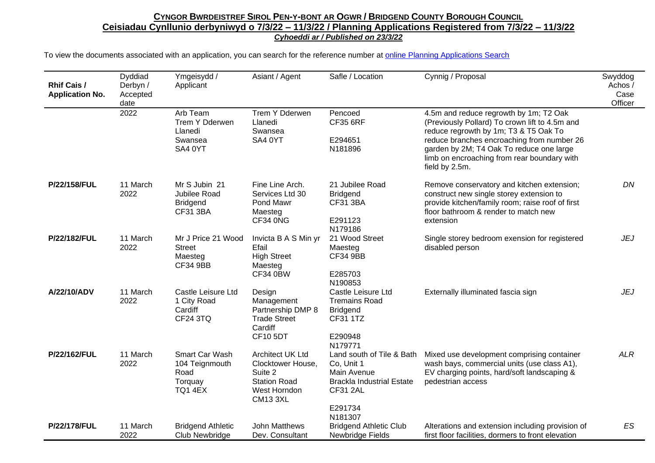| <b>Rhif Cais /</b><br><b>Application No.</b> | Dyddiad<br>Derbyn /<br>Accepted<br>date | Ymgeisydd /<br>Applicant                                              | Asiant / Agent                                                                                             | Safle / Location                                                                                                                    | Cynnig / Proposal                                                                                                                                                                                                                                                                            | Swyddog<br>Achos /<br>Case<br>Officer |
|----------------------------------------------|-----------------------------------------|-----------------------------------------------------------------------|------------------------------------------------------------------------------------------------------------|-------------------------------------------------------------------------------------------------------------------------------------|----------------------------------------------------------------------------------------------------------------------------------------------------------------------------------------------------------------------------------------------------------------------------------------------|---------------------------------------|
|                                              | 2022                                    | Arb Team<br>Trem Y Dderwen<br>Llanedi<br>Swansea<br>SA4 0YT           | Trem Y Dderwen<br>Llanedi<br>Swansea<br>SA4 0YT                                                            | Pencoed<br><b>CF35 6RF</b><br>E294651<br>N181896                                                                                    | 4.5m and reduce regrowth by 1m; T2 Oak<br>(Previously Pollard) To crown lift to 4.5m and<br>reduce regrowth by 1m; T3 & T5 Oak To<br>reduce branches encroaching from number 26<br>garden by 2M; T4 Oak To reduce one large<br>limb on encroaching from rear boundary with<br>field by 2.5m. |                                       |
| P/22/158/FUL                                 | 11 March<br>2022                        | Mr S Jubin 21<br>Jubilee Road<br><b>Bridgend</b><br><b>CF31 3BA</b>   | Fine Line Arch.<br>Services Ltd 30<br>Pond Mawr<br>Maesteg<br>CF34 0NG                                     | 21 Jubilee Road<br><b>Bridgend</b><br><b>CF31 3BA</b><br>E291123<br>N179186                                                         | Remove conservatory and kitchen extension;<br>construct new single storey extension to<br>provide kitchen/family room; raise roof of first<br>floor bathroom & render to match new<br>extension                                                                                              | <b>DN</b>                             |
| P/22/182/FUL                                 | 11 March<br>2022                        | Mr J Price 21 Wood<br><b>Street</b><br>Maesteg<br><b>CF34 9BB</b>     | Invicta B A S Min yr<br>Efail<br><b>High Street</b><br>Maesteg<br><b>CF34 0BW</b>                          | 21 Wood Street<br>Maesteg<br><b>CF34 9BB</b><br>E285703<br>N190853                                                                  | Single storey bedroom exension for registered<br>disabled person                                                                                                                                                                                                                             | JEJ                                   |
| A/22/10/ADV                                  | 11 March<br>2022                        | Castle Leisure Ltd<br>1 City Road<br>Cardiff<br><b>CF24 3TQ</b>       | Design<br>Management<br>Partnership DMP 8<br><b>Trade Street</b><br>Cardiff<br><b>CF10 5DT</b>             | Castle Leisure Ltd<br><b>Tremains Road</b><br><b>Bridgend</b><br>CF31 1TZ<br>E290948<br>N179771                                     | Externally illuminated fascia sign                                                                                                                                                                                                                                                           | JEJ                                   |
| P/22/162/FUL                                 | 11 March<br>2022                        | Smart Car Wash<br>104 Teignmouth<br>Road<br>Torquay<br><b>TQ1 4EX</b> | Architect UK Ltd<br>Clocktower House,<br>Suite 2<br><b>Station Road</b><br>West Horndon<br><b>CM13 3XL</b> | Land south of Tile & Bath<br>Co, Unit 1<br>Main Avenue<br><b>Brackla Industrial Estate</b><br><b>CF31 2AL</b><br>E291734<br>N181307 | Mixed use development comprising container<br>wash bays, commercial units (use class A1),<br>EV charging points, hard/soft landscaping &<br>pedestrian access                                                                                                                                | <b>ALR</b>                            |
| P/22/178/FUL                                 | 11 March<br>2022                        | <b>Bridgend Athletic</b><br><b>Club Newbridge</b>                     | John Matthews<br>Dev. Consultant                                                                           | <b>Bridgend Athletic Club</b><br>Newbridge Fields                                                                                   | Alterations and extension including provision of<br>first floor facilities, dormers to front elevation                                                                                                                                                                                       | ES                                    |